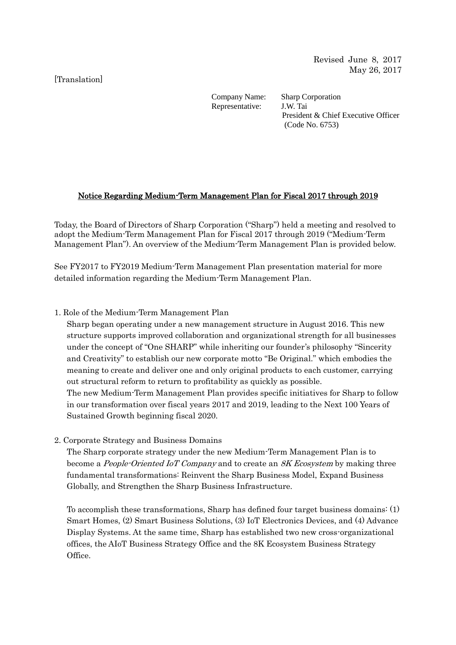# [Translation]

Company Name: Sharp Corporation Representative: J.W. Tai President & Chief Executive Officer (Code No. 6753)

### Notice Regarding Medium-Term Management Plan for Fiscal 2017 through 2019

Today, the Board of Directors of Sharp Corporation ("Sharp") held a meeting and resolved to adopt the Medium-Term Management Plan for Fiscal 2017 through 2019 ("Medium-Term Management Plan"). An overview of the Medium-Term Management Plan is provided below.

See FY2017 to FY2019 Medium-Term Management Plan presentation material for more detailed information regarding the Medium-Term Management Plan.

# 1. Role of the Medium-Term Management Plan

Sharp began operating under a new management structure in August 2016. This new structure supports improved collaboration and organizational strength for all businesses under the concept of "One SHARP" while inheriting our founder's philosophy "Sincerity and Creativity" to establish our new corporate motto "Be Original." which embodies the meaning to create and deliver one and only original products to each customer, carrying out structural reform to return to profitability as quickly as possible. The new Medium-Term Management Plan provides specific initiatives for Sharp to follow in our transformation over fiscal years 2017 and 2019, leading to the Next 100 Years of

Sustained Growth beginning fiscal 2020.

### 2. Corporate Strategy and Business Domains

The Sharp corporate strategy under the new Medium-Term Management Plan is to become a *People-Oriented IoT Company* and to create an *SK Ecosystem* by making three fundamental transformations: Reinvent the Sharp Business Model, Expand Business Globally, and Strengthen the Sharp Business Infrastructure.

To accomplish these transformations, Sharp has defined four target business domains: (1) Smart Homes, (2) Smart Business Solutions, (3) IoT Electronics Devices, and (4) Advance Display Systems. At the same time, Sharp has established two new cross-organizational offices, the AIoT Business Strategy Office and the 8K Ecosystem Business Strategy Office.